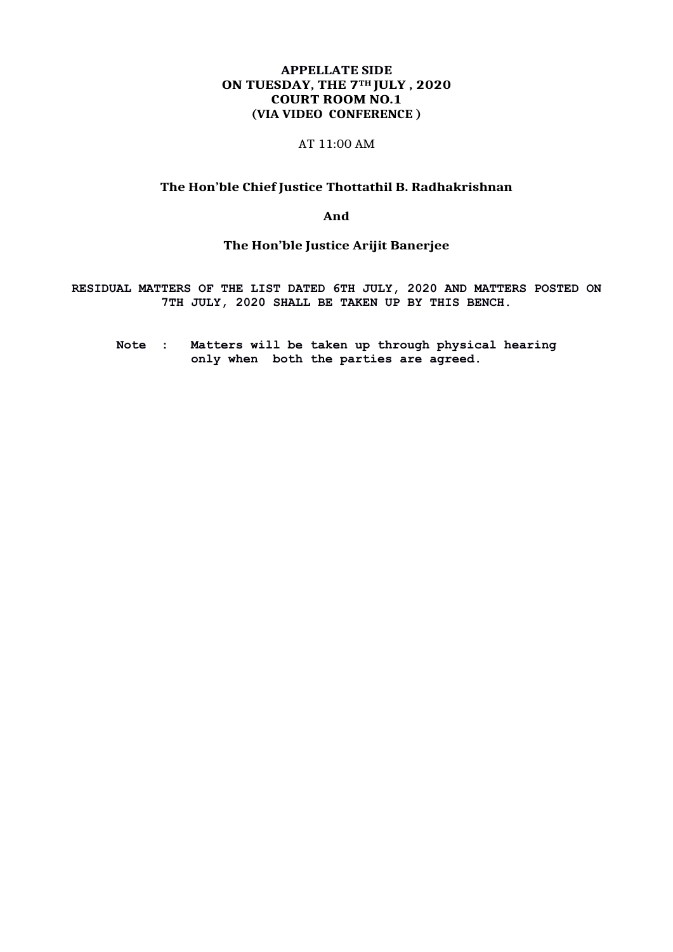### **APPELLATE SIDE ON TUESDAY, THE 7TH JULY , 2020 COURT ROOM NO.1 (VIA VIDEO CONFERENCE )**

#### AT 11:00 AM

#### **The Hon'ble Chief Justice Thottathil B. Radhakrishnan**

**And**

# **The Hon'ble Justice Arijit Banerjee**

**RESIDUAL MATTERS OF THE LIST DATED 6TH JULY, 2020 AND MATTERS POSTED ON 7TH JULY, 2020 SHALL BE TAKEN UP BY THIS BENCH.**

**Note : Matters will be taken up through physical hearing only when both the parties are agreed.**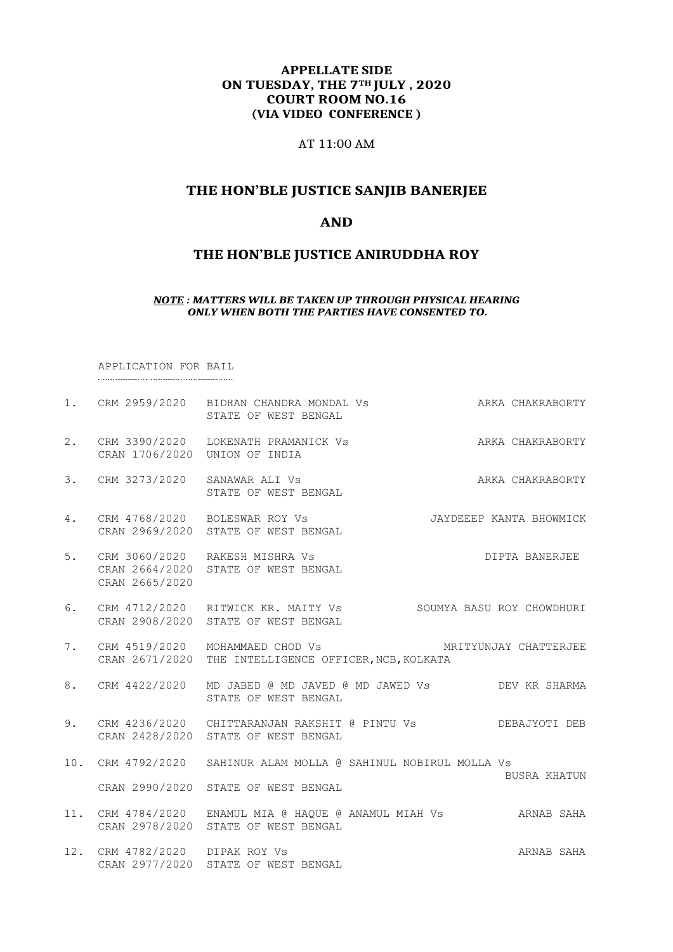# **APPELLATE SIDE ON TUESDAY, THE 7TH JULY , 2020 COURT ROOM NO.16 (VIA VIDEO CONFERENCE )**

# AT 11:00 AM

# **THE HON'BLE JUSTICE SANJIB BANERJEE**

# **AND**

# **THE HON'BLE JUSTICE ANIRUDDHA ROY**

#### *NOTE : MATTERS WILL BE TAKEN UP THROUGH PHYSICAL HEARING ONLY WHEN BOTH THE PARTIES HAVE CONSENTED TO.*

APPLICATION FOR BAIL

|    |                                | 1. CRM 2959/2020 BIDHAN CHANDRA MONDAL Vs<br>STATE OF WEST BENGAL                                       | ARKA CHAKRABORTY        |
|----|--------------------------------|---------------------------------------------------------------------------------------------------------|-------------------------|
| 2. | CRAN 1706/2020 UNION OF INDIA  | CRM 3390/2020 LOKENATH PRAMANICK Vs                                                                     | ARKA CHAKRABORTY        |
| 3. | CRM 3273/2020 SANAWAR ALI Vs   | STATE OF WEST BENGAL                                                                                    | ARKA CHAKRABORTY        |
| 4. |                                | CRM 4768/2020 BOLESWAR ROY Vs<br>CRAN 2969/2020 STATE OF WEST BENGAL                                    | JAYDEEEP KANTA BHOWMICK |
| 5. | CRAN 2665/2020                 | CRM 3060/2020 RAKESH MISHRA Vs<br>CRAN 2664/2020 STATE OF WEST BENGAL                                   | DIPTA BANERJEE          |
| 6. |                                | CRM 4712/2020 RITWICK KR. MAITY Vs SOUMYA BASU ROY CHOWDHURI<br>CRAN 2908/2020 STATE OF WEST BENGAL     |                         |
| 7. |                                | CRM 4519/2020 MOHAMMAED CHOD Vs<br>CRAN 2671/2020 THE INTELLIGENCE OFFICER, NCB, KOLKATA                | MRITYUNJAY CHATTERJEE   |
| 8. |                                | CRM 4422/2020 MD JABED @ MD JAVED @ MD JAWED Vs DEV KR SHARMA<br>STATE OF WEST BENGAL                   |                         |
| 9. |                                | CRM 4236/2020 CHITTARANJAN RAKSHIT @ PINTU Vs DEBAJYOTI DEB<br>CRAN 2428/2020 STATE OF WEST BENGAL      |                         |
|    |                                | 10. CRM 4792/2020 SAHINUR ALAM MOLLA @ SAHINUL NOBIRUL MOLLA Vs                                         |                         |
|    |                                | CRAN 2990/2020 STATE OF WEST BENGAL                                                                     | <b>BUSRA KHATUN</b>     |
|    |                                | 11. CRM 4784/2020 ENAMUL MIA @ HAQUE @ ANAMUL MIAH Vs ARNAB SAHA<br>CRAN 2978/2020 STATE OF WEST BENGAL |                         |
|    | 12. CRM 4782/2020 DIPAK ROY Vs | CRAN 2977/2020 STATE OF WEST BENGAL                                                                     | ARNAB SAHA              |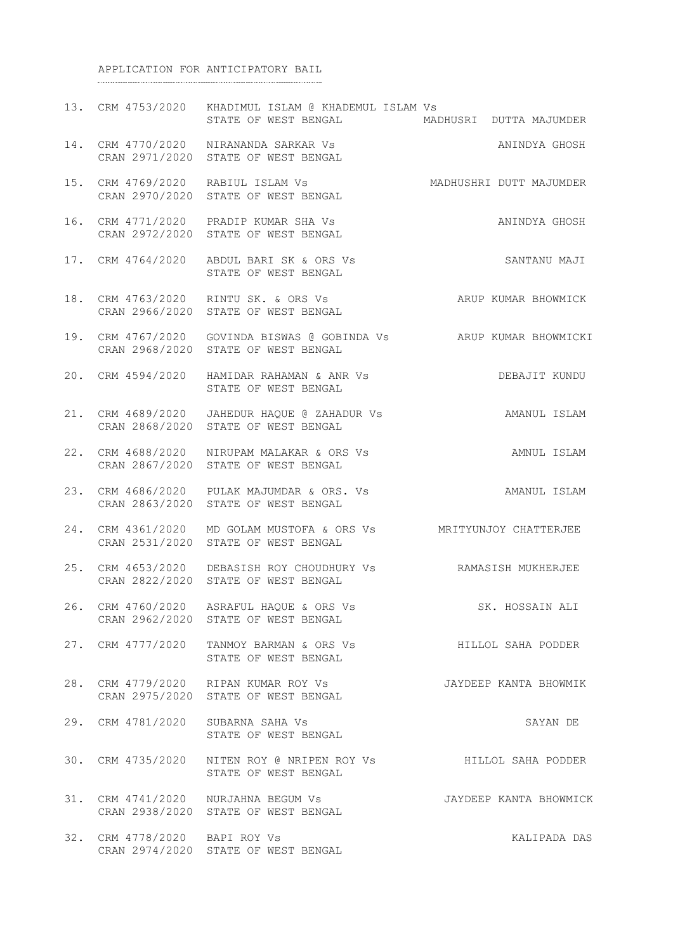#### APPLICATION FOR ANTICIPATORY BAIL

|     |                               | 13. CRM 4753/2020 KHADIMUL ISLAM @ KHADEMUL ISLAM Vs<br>STATE OF WEST BENGAL MADHUSRI DUTTA MAJUMDER                |                         |
|-----|-------------------------------|---------------------------------------------------------------------------------------------------------------------|-------------------------|
|     |                               | 14. CRM 4770/2020 NIRANANDA SARKAR Vs<br>CRAN 2971/2020 STATE OF WEST BENGAL<br>CRAN 2971/2020 STATE OF WEST BENGAL | ANINDYA GHOSH           |
|     |                               | 15. CRM 4769/2020 RABIUL ISLAM Vs<br>CRAN 2970/2020 STATE OF WEST BENGAL                                            | MADHUSHRI DUTT MAJUMDER |
|     |                               | 16. CRM 4771/2020 PRADIP KUMAR SHA Vs<br>CRAN 2972/2020 STATE OF WEST BENGAL                                        | ANINDYA GHOSH           |
|     |                               | 17. CRM 4764/2020 ABDUL BARI SK & ORS Vs<br>STATE OF WEST BENGAL                                                    | SANTANU MAJI            |
|     |                               | 18. CRM 4763/2020 RINTU SK. & ORS Vs<br>CRAN 2966/2020 STATE OF WEST BENGAL                                         | ARUP KUMAR BHOWMICK     |
|     |                               | 19. CRM 4767/2020 GOVINDA BISWAS @ GOBINDA Vs ARUP KUMAR BHOWMICKI<br>CRAN 2968/2020 STATE OF WEST BENGAL           |                         |
|     | 20. CRM 4594/2020             | HAMIDAR RAHAMAN & ANR VS<br>STATE OF WEST BENGAL                                                                    | DEBAJIT KUNDU           |
|     |                               | 21. CRM 4689/2020 JAHEDUR HAQUE @ ZAHADUR Vs AMANUL ISLAM<br>CRAN 2868/2020 STATE OF WEST BENGAL                    |                         |
|     |                               | 22. CRM 4688/2020 NIRUPAM MALAKAR & ORS Vs<br>CRAN 2867/2020 STATE OF WEST BENGAL                                   | AMNUL ISLAM             |
|     |                               | 23. CRM 4686/2020 PULAK MAJUMDAR & ORS. Vs<br>CRAN 2863/2020 STATE OF WEST BENGAL                                   | AMANUL ISLAM            |
| 24. |                               | CRM 4361/2020 MD GOLAM MUSTOFA & ORS Vs MRITYUNJOY CHATTERJEE<br>CRAN 2531/2020 STATE OF WEST BENGAL                |                         |
|     |                               | 25. CRM 4653/2020 DEBASISH ROY CHOUDHURY Vs RAMASISH MUKHERJEE<br>CRAN 2822/2020 STATE OF WEST BENGAL               |                         |
|     |                               | 26. CRM 4760/2020 ASRAFUL HAQUE & ORS Vs<br>CRAN 2962/2020 STATE OF WEST BENGAL                                     | SK. HOSSAIN ALI         |
|     | 27. CRM 4777/2020             | TANMOY BARMAN & ORS Vs<br>STATE OF WEST BENGAL                                                                      | HILLOL SAHA PODDER      |
|     |                               | 28. CRM 4779/2020 RIPAN KUMAR ROY Vs<br>CRAN 2975/2020 STATE OF WEST BENGAL                                         | JAYDEEP KANTA BHOWMIK   |
|     | 29. CRM 4781/2020             | SUBARNA SAHA Vs<br>STATE OF WEST BENGAL                                                                             | SAYAN DE                |
|     | 30. CRM 4735/2020             | NITEN ROY @ NRIPEN ROY Vs AILLOL SAHA PODDER<br>STATE OF WEST BENGAL                                                |                         |
|     |                               | 31. CRM 4741/2020 NURJAHNA BEGUM Vs<br>CRAN 2938/2020 STATE OF WEST BENGAL                                          | JAYDEEP KANTA BHOWMICK  |
|     | 32. CRM 4778/2020 BAPI ROY Vs | CRAN 2974/2020 STATE OF WEST BENGAL                                                                                 | KALIPADA DAS            |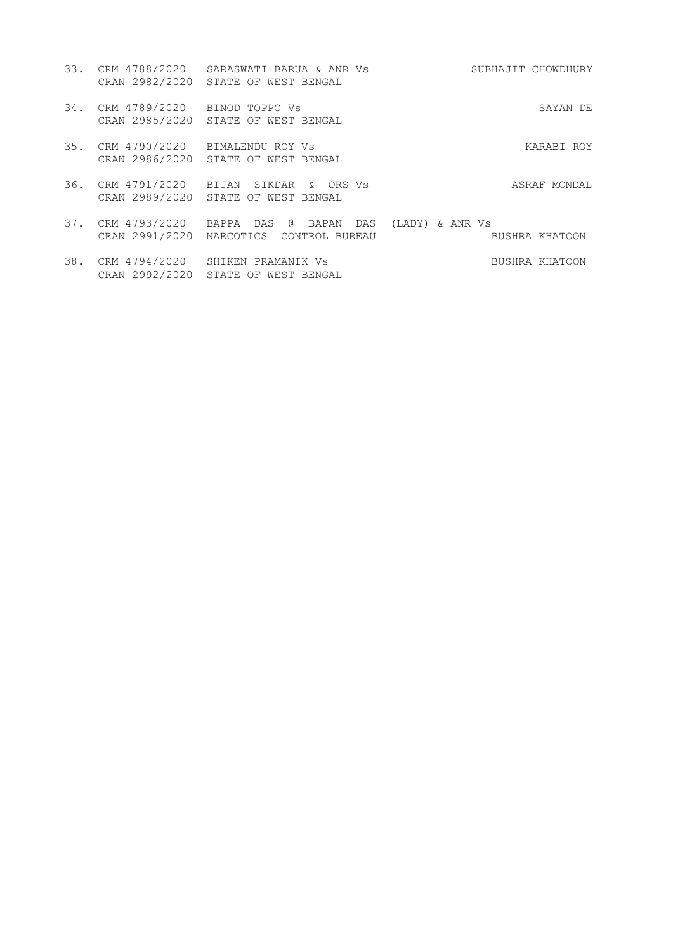| 33. | CRM 4788/2020<br>CRAN 2982/2020 | SARASWATI BARUA & ANR Vs<br>STATE OF WEST BENGAL                 | SUBHAJIT CHOWDHURY                   |
|-----|---------------------------------|------------------------------------------------------------------|--------------------------------------|
| 34. | CRM 4789/2020<br>CRAN 2985/2020 | BINOD TOPPO VS<br>STATE OF WEST BENGAL                           | SAYAN DE                             |
| 35. | CRM 4790/2020<br>CRAN 2986/2020 | BIMALENDU ROY VS<br>STATE OF WEST BENGAL                         | KARABI ROY                           |
| 36. | CRM 4791/2020<br>CRAN 2989/2020 | SIKDAR<br>ORS Vs<br>BIJAN<br>$\delta$<br>STATE OF WEST BENGAL    | ASRAF MONDAL                         |
| 37. | CRM 4793/2020<br>CRAN 2991/2020 | િ વિ<br>BAPPA<br>DAS<br>BAPAN DAS<br>NARCOTICS<br>CONTROL BUREAU | (LADY)<br>& ANR Vs<br>BUSHRA KHATOON |

38. CRM 4794/2020 SHIKEN PRAMANIK Vs BUSHRA KHATOON CRAN 2992/2020 STATE OF WEST BENGAL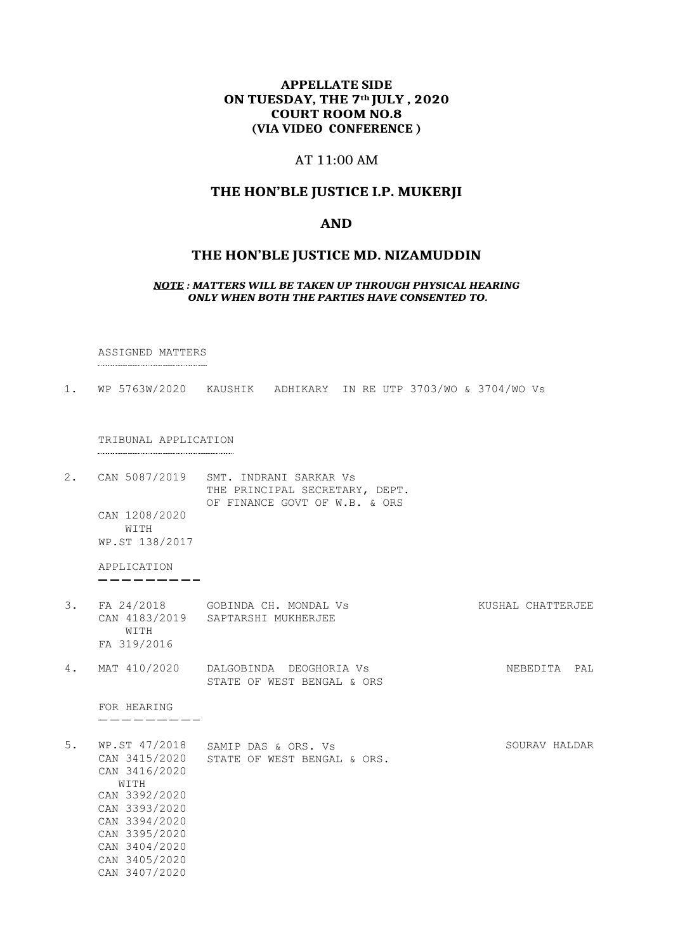# **APPELLATE SIDE ON TUESDAY, THE 7th JULY , 2020 COURT ROOM NO.8 (VIA VIDEO CONFERENCE )**

# AT 11:00 AM

# **THE HON'BLE JUSTICE I.P. MUKERJI**

#### **AND**

#### **THE HON'BLE JUSTICE MD. NIZAMUDDIN**

#### *NOTE : MATTERS WILL BE TAKEN UP THROUGH PHYSICAL HEARING ONLY WHEN BOTH THE PARTIES HAVE CONSENTED TO.*

ASSIGNED MATTERS

1. WP 5763W/2020 KAUSHIK ADHIKARY IN RE UTP 3703/WO & 3704/WO Vs

TRIBUNAL APPLICATION

2. CAN 5087/2019 SMT. INDRANI SARKAR Vs THE PRINCIPAL SECRETARY, DEPT. OF FINANCE GOVT OF W.B. & ORS CAN 1208/2020 WITH WP.ST 138/2017

APPLICATION  $- - - - - - - -$ 

- 3. FA 24/2018 GOBINDA CH. MONDAL Vs CAN 4183/2019 SAPTARSHI MUKHERJEE WITH FA 319/2016 KUSHAL CHATTERJEE
- 4. MAT 410/2020 DALGOBINDA DEOGHORIA Vs STATE OF WEST BENGAL & ORS NEBEDITA PAL

FOR HEARING ---------

5. WP.ST 47/2018 SAMIP DAS & ORS. Vs CAN 3415/2020 STATE OF WEST BENGAL & ORS. CAN 3416/2020 SOURAV HALDAR WITH CAN 3392/2020 CAN 3393/2020 CAN 3394/2020 CAN 3395/2020 CAN 3404/2020 CAN 3405/2020 CAN 3407/2020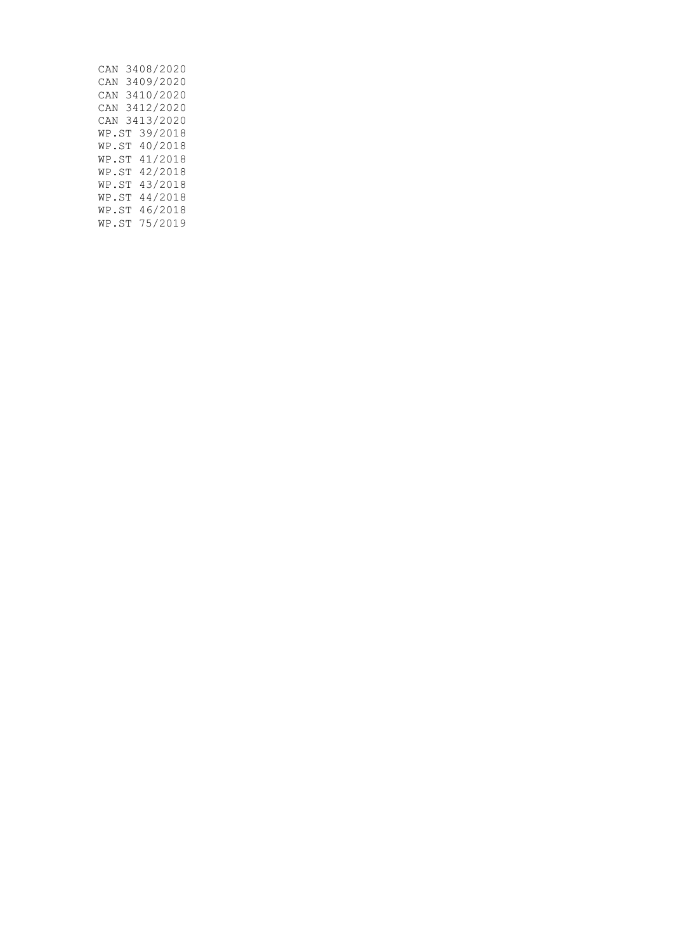| CAN   | 3408/2020 |
|-------|-----------|
| CAN   | 3409/2020 |
| CAN   | 3410/2020 |
| CAN   | 3412/2020 |
| CAN   | 3413/2020 |
| WP.ST | 39/2018   |
| WP.ST | 40/2018   |
| WP.ST | 41/2018   |
| WP.ST | 42/2018   |
| WP.ST | 43/2018   |
| WP.ST | 44/2018   |
| WP.ST | 46/2018   |
| WP.ST | 75/2019   |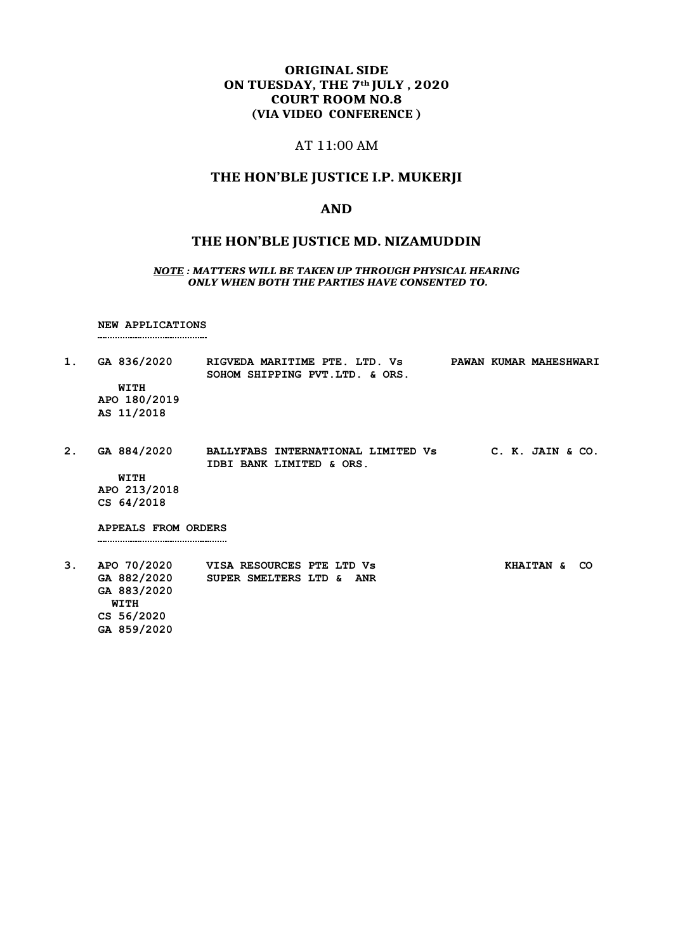# **ORIGINAL SIDE ON TUESDAY, THE 7th JULY , 2020 COURT ROOM NO.8 (VIA VIDEO CONFERENCE )**

#### AT 11:00 AM

#### **THE HON'BLE JUSTICE I.P. MUKERJI**

#### **AND**

#### **THE HON'BLE JUSTICE MD. NIZAMUDDIN**

#### *NOTE : MATTERS WILL BE TAKEN UP THROUGH PHYSICAL HEARING ONLY WHEN BOTH THE PARTIES HAVE CONSENTED TO.*

**NEW APPLICATIONS** 

**1. GA 836/2020 RIGVEDA MARITIME PTE. LTD. Vs PAWAN KUMAR MAHESHWARI SOHOM SHIPPING PVT.LTD. & ORS. WITH APO 180/2019 AS 11/2018 2. GA 884/2020 BALLYFABS INTERNATIONAL LIMITED Vs C. K. JAIN & CO. IDBI BANK LIMITED & ORS. WITH**

**APO 213/2018 CS 64/2018**

**APPEALS FROM ORDERS** 

**3. APO 70/2020 VISA RESOURCES PTE LTD Vs KHAITAN & CO GA 882/2020 SUPER SMELTERS LTD & ANR GA 883/2020 WITH CS 56/2020 GA 859/2020**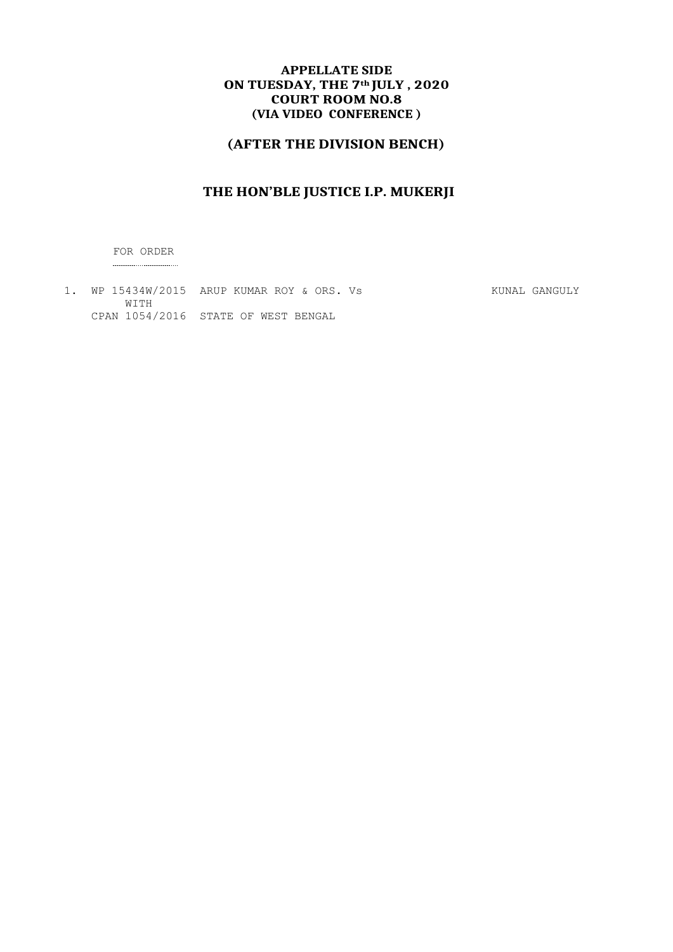# **APPELLATE SIDE ON TUESDAY, THE 7th JULY , 2020 COURT ROOM NO.8 (VIA VIDEO CONFERENCE )**

# **(AFTER THE DIVISION BENCH)**

# **THE HON'BLE JUSTICE I.P. MUKERJI**

FOR ORDER 

1. WP 15434W/2015 ARUP KUMAR ROY & ORS. Vs KUNAL GANGULY WITH CPAN 1054/2016 STATE OF WEST BENGAL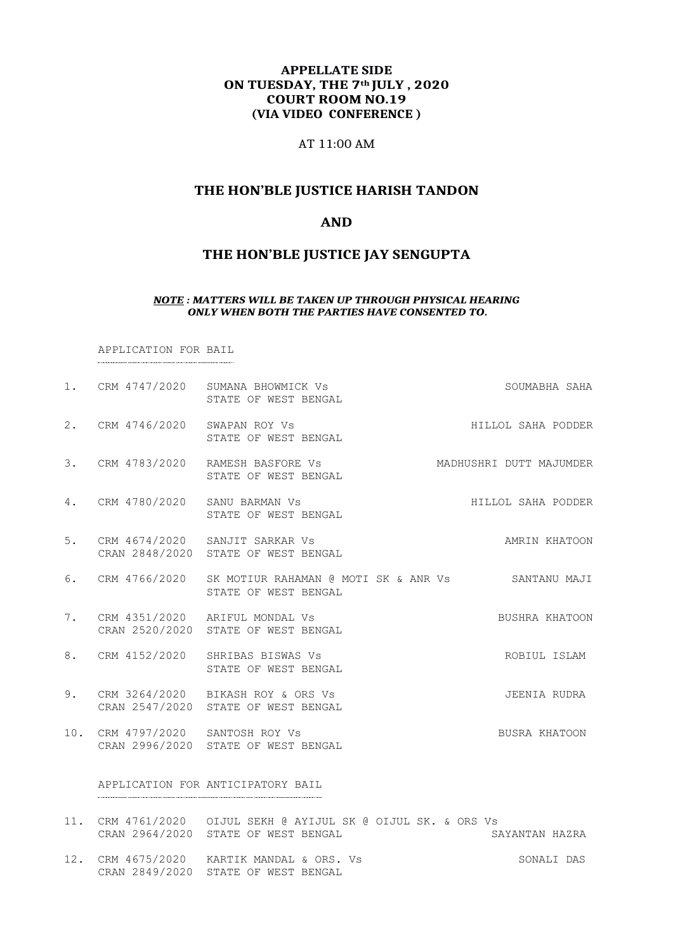### **APPELLATE SIDE ON TUESDAY, THE 7th JULY , 2020 COURT ROOM NO.19 (VIA VIDEO CONFERENCE )**

#### AT 11:00 AM

# **THE HON'BLE JUSTICE HARISH TANDON**

#### **AND**

# **THE HON'BLE JUSTICE JAY SENGUPTA**

#### *NOTE : MATTERS WILL BE TAKEN UP THROUGH PHYSICAL HEARING ONLY WHEN BOTH THE PARTIES HAVE CONSENTED TO.*

APPLICATION FOR BAIL

|    |                                  | 1. CRM 4747/2020 SUMANA BHOWMICK Vs<br>STATE OF WEST BENGAL                                | SOUMABHA SAHA           |
|----|----------------------------------|--------------------------------------------------------------------------------------------|-------------------------|
|    | 2. CRM 4746/2020 SWAPAN ROY Vs   | STATE OF WEST BENGAL                                                                       | HILLOL SAHA PODDER      |
|    |                                  | 3. CRM 4783/2020 RAMESH BASFORE Vs<br>STATE OF WEST BENGAL                                 | MADHUSHRI DUTT MAJUMDER |
|    | 4. CRM 4780/2020 SANU BARMAN VS  | STATE OF WEST BENGAL                                                                       | HILLOL SAHA PODDER      |
|    |                                  | 5. CRM 4674/2020 SANJIT SARKAR Vs<br>CRAN 2848/2020 STATE OF WEST BENGAL                   | AMRIN KHATOON           |
|    |                                  | 6. CRM 4766/2020 SK MOTIUR RAHAMAN @ MOTI SK & ANR Vs SANTANU MAJI<br>STATE OF WEST BENGAL |                         |
|    |                                  | 7. CRM 4351/2020 ARIFUL MONDAL Vs<br>CRAN 2520/2020 STATE OF WEST BENGAL                   | BUSHRA KHATOON          |
|    |                                  | 8. CRM 4152/2020 SHRIBAS BISWAS Vs<br>STATE OF WEST BENGAL                                 | ROBIUL ISLAM            |
| 9. |                                  | CRM 3264/2020 BIKASH ROY & ORS Vs<br>CRAN 2547/2020 STATE OF WEST BENGAL                   | JEENIA RUDRA            |
|    | 10. CRM 4797/2020 SANTOSH ROY Vs | CRAN 2996/2020 STATE OF WEST BENGAL                                                        | BUSRA KHATOON           |
|    |                                  | APPLICATION FOR ANTICIPATORY BAIL                                                          |                         |

|  | 11. CRM 4761/2020 OIJUL SEKH @ AYIJUL SK @ OIJUL SK. & ORS Vs |                |
|--|---------------------------------------------------------------|----------------|
|  | CRAN 2964/2020 STATE OF WEST BENGAL                           | SAYANTAN HAZRA |
|  |                                                               |                |

12. CRM 4675/2020 KARTIK MANDAL & ORS. Vs SONALI DAS CRAN 2849/2020 STATE OF WEST BENGAL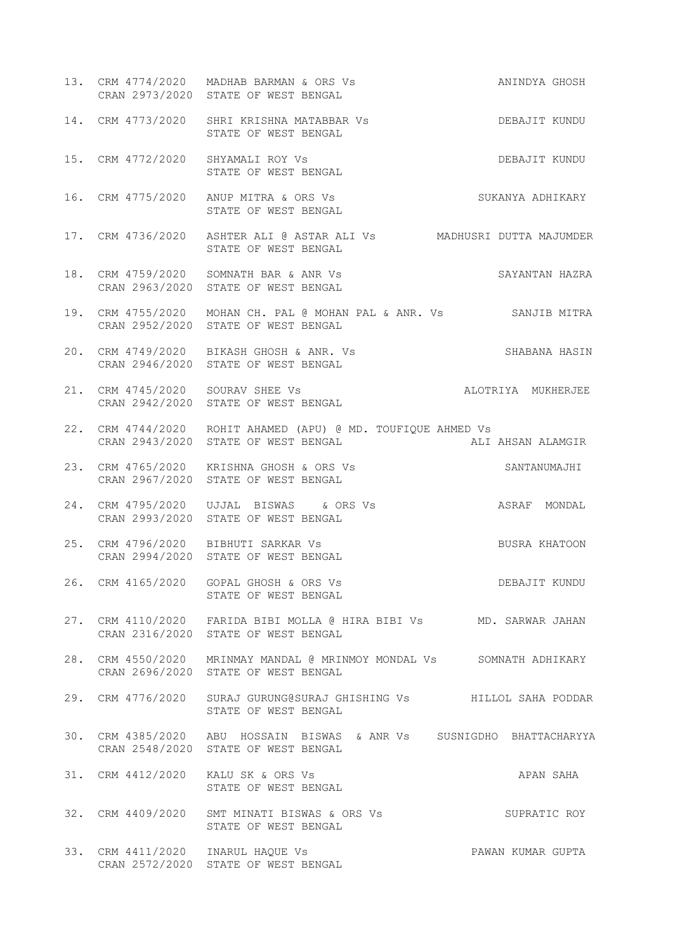- 13. CRM 4774/2020 MADHAB BARMAN & ORS Vs ANINDYA GHOSH CRAN 2973/2020 STATE OF WEST BENGAL
- 14. CRM 4773/2020 SHRI KRISHNA MATABBAR Vs DEBAJIT KUNDU STATE OF WEST BENGAL
- 15. CRM 4772/2020 SHYAMALI ROY Vs DEBAJIT KUNDU STATE OF WEST BENGAL
- 16. CRM 4775/2020 ANUP MITRA & ORS Vs SUKANYA ADHIKARY STATE OF WEST BENGAL
- 17. CRM 4736/2020 ASHTER ALI @ ASTAR ALI Vs MADHUSRI DUTTA MAJUMDER STATE OF WEST BENGAL
- 18. CRM 4759/2020 SOMNATH BAR & ANR Vs SAYANTAN HAZRA CRAN 2963/2020 STATE OF WEST BENGAL
- 19. CRM 4755/2020 MOHAN CH. PAL @ MOHAN PAL & ANR. Vs SANJIB MITRA CRAN 2952/2020 STATE OF WEST BENGAL
- 20. CRM 4749/2020 BIKASH GHOSH & ANR. Vs SHABANA HASIN CRAN 2946/2020 STATE OF WEST BENGAL
- 21. CRM 4745/2020 SOURAV SHEE Vs ALOTRIYA MUKHERJEE CRAN 2942/2020 STATE OF WEST BENGAL
- 22. CRM 4744/2020 ROHIT AHAMED (APU) @ MD. TOUFIQUE AHMED Vs<br>CRAN 2943/2020 STATE OF WEST BENGAL ALI CRAN 2943/2020 STATE OF WEST BENGAL ALL ALL AHSAN ALAMGIR
- 23. CRM 4765/2020 KRISHNA GHOSH & ORS Vs SANTANUMAJHI CRAN 2967/2020 STATE OF WEST BENGAL
- 24. CRM 4795/2020 UJJAL BISWAS & ORS Vs ASRAF MONDAL CRAN 2993/2020 STATE OF WEST BENGAL
- 25. CRM 4796/2020 BIBHUTI SARKAR Vs BUSRA KHATOON CRAN 2994/2020 STATE OF WEST BENGAL
- 26. CRM 4165/2020 GOPAL GHOSH & ORS Vs DEBAJIT KUNDU STATE OF WEST BENGAL
- 27. CRM 4110/2020 FARIDA BIBI MOLLA @ HIRA BIBI Vs MD. SARWAR JAHAN CRAN 2316/2020 STATE OF WEST BENGAL
- 28. CRM 4550/2020 MRINMAY MANDAL @ MRINMOY MONDAL Vs SOMNATH ADHIKARY CRAN 2696/2020 STATE OF WEST BENGAL
- 29. CRM 4776/2020 SURAJ GURUNG@SURAJ GHISHING Vs HILLOL SAHA PODDAR STATE OF WEST BENGAL
- 30. CRM 4385/2020 ABU HOSSAIN BISWAS & ANR Vs SUSNIGDHO BHATTACHARYYA CRAN 2548/2020 STATE OF WEST BENGAL
- 31. CRM 4412/2020 KALU SK & ORS Vs APAN SAHA STATE OF WEST BENGAL
- 32. CRM 4409/2020 SMT MINATI BISWAS & ORS Vs SUPRATIC ROY STATE OF WEST BENGAL
- 33. CRM 4411/2020 INARUL HAQUE Vs PAWAN KUMAR GUPTA CRAN 2572/2020 STATE OF WEST BENGAL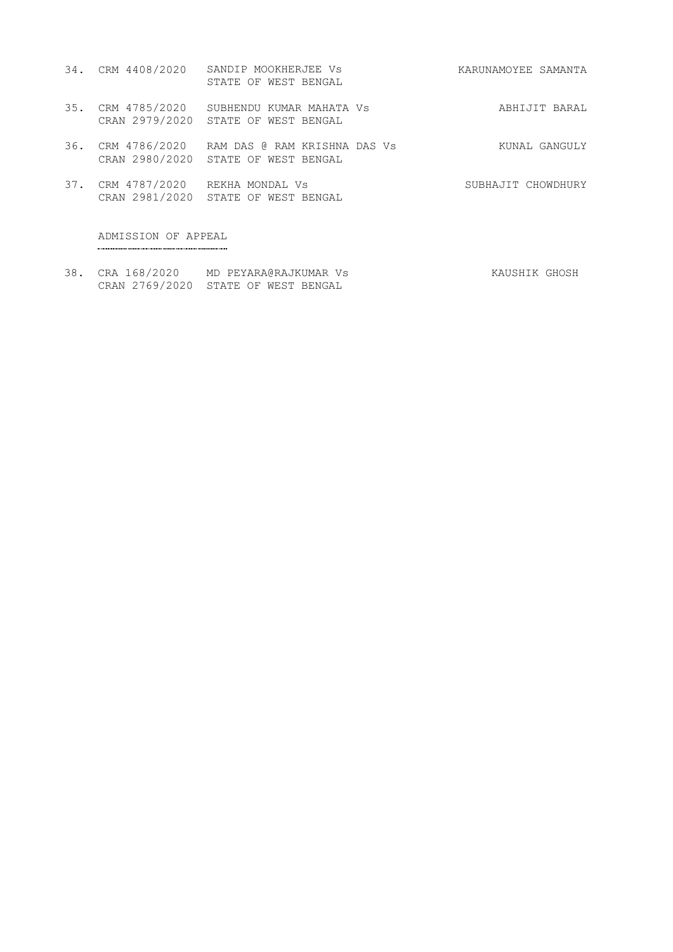- 34. CRM 4408/2020 SANDIP MOOKHERJEE Vs STATE OF WEST BENGAL KARUNAMOYEE SAMANTA
- 35. CRM 4785/2020 CRAN 2979/2020 SUBHENDU KUMAR MAHATA STATE OF WEST BENGAL Vs ABHIJIT BARAL
- 36. CRM 4786/2020 CRAN 2980/2020 RAM DAS @ RAM KRISHNA STATE OF WEST BENGAL DAS Vs KUNAL GANGULY
- 37. CRM 4787/2020 CRAN 2981/2020 REKHA MONDAL Vs STATE OF WEST BENGAL SUBHAJIT CHOWDHURY

ADMISSION OF APPEAL

38. CRA 168/2020 MD PEYARA@RAJKUMAR Vs KAUSHIK GHOSH CRAN 2769/2020 STATE OF WEST BENGAL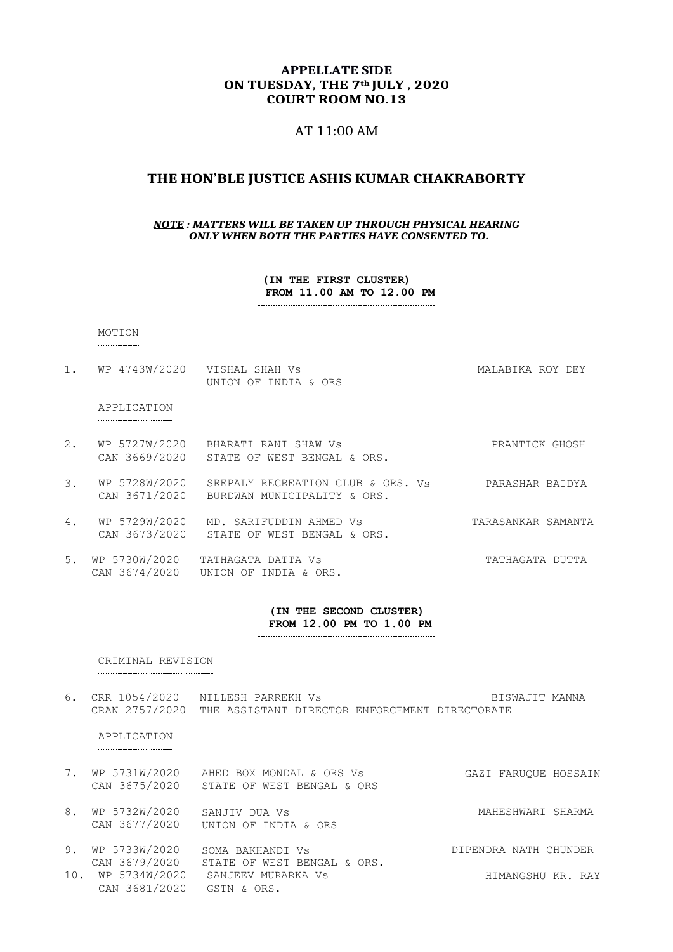#### **APPELLATE SIDE ON TUESDAY, THE 7th JULY , 2020 COURT ROOM NO.13**

#### AT 11:00 AM

#### **THE HON'BLE JUSTICE ASHIS KUMAR CHAKRABORTY**

#### *NOTE : MATTERS WILL BE TAKEN UP THROUGH PHYSICAL HEARING ONLY WHEN BOTH THE PARTIES HAVE CONSENTED TO.*

**(IN THE FIRST CLUSTER) FROM 11.00 AM TO 12.00 PM** 

#### MOTION

1. WP 4743W/2020 VISHAL SHAH Vs **MALABIKA ROY DEY** UNION OF INDIA & ORS

#### APPLICATION

- 2. WP 5727W/2020 BHARATI RANI SHAW Vs PRANTICK GHOSH CAN 3669/2020 STATE OF WEST BENGAL & ORS.
- 3. WP 5728W/2020 SREPALY RECREATION CLUB & ORS. CAN 3671/2020 BURDWAN MUNICIPALITY & ORS. PARASHAR BAIDYA
- 4. WP 5729W/2020 MD. SARIFUDDIN AHMED Vs CAN 3673/2020 STATE OF WEST BENGAL & ORS. TARASANKAR SAMANTA
- 5. WP 5730W/2020 TATHAGATA DATTA Vs CAN 3674/2020 UNION OF INDIA & ORS. TATHAGATA DUTTA

#### **(IN THE SECOND CLUSTER) FROM 12.00 PM TO 1.00 PM**

#### CRIMINAL REVISION

6. CRR 1054/2020 NILLESH PARREKH Vs **BISWAJIT MANNA** CRAN 2757/2020 THE ASSISTANT DIRECTOR ENFORCEMENT DIRECTORATE

#### APPLICATION

. . . . . . . . . . . . . . . . . . .

| 7. WP 5731W/2020               | AHED BOX MONDAL & ORS Vs<br>CAN 3675/2020 STATE OF WEST BENGAL & ORS | GAZI FARUOUE HOSSAIN |  |
|--------------------------------|----------------------------------------------------------------------|----------------------|--|
| 8. WP 5732W/2020 SANJIV DUA Vs | CAN 3677/2020 UNION OF INDIA & ORS                                   | MAHESHWARI SHARMA    |  |

9. WP 5733W/2020 CAN 3679/2020 SOMA BAKHANDI Vs STATE OF WEST BENGAL & ORS. DIPENDRA NATH CHUNDER 10. WP 5734W/2020 CAN 3681/2020 SANJEEV MURARKA Vs GSTN & ORS. HIMANGSHU KR. RAY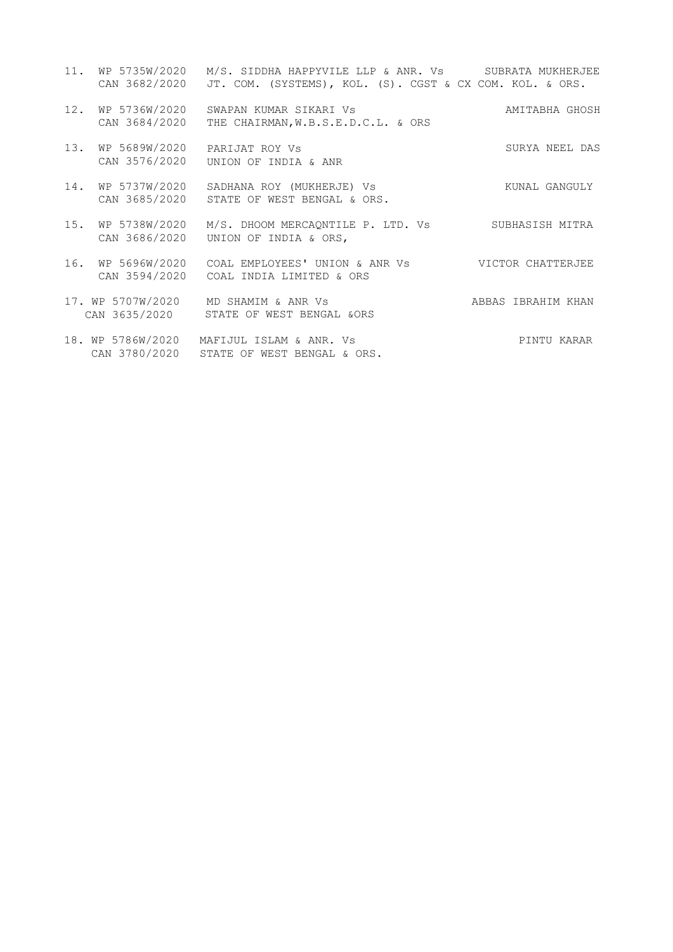|     | CAN 3682/2020                      | 11. WP 5735W/2020 M/S. SIDDHA HAPPYVILE LLP & ANR. Vs SUBRATA MUKHERJEE<br>JT. COM. (SYSTEMS), KOL. (S). CGST & CX COM. KOL. & ORS. |                    |
|-----|------------------------------------|-------------------------------------------------------------------------------------------------------------------------------------|--------------------|
|     | 12. WP 5736W/2020<br>CAN 3684/2020 | SWAPAN KUMAR SIKARI VS<br>THE CHAIRMAN, W.B.S.E.D.C.L. & ORS                                                                        | AMITABHA GHOSH     |
|     | 13. WP 5689W/2020<br>CAN 3576/2020 | PARIJAT ROY VS<br>UNION OF INDIA & ANR                                                                                              | SURYA NEEL DAS     |
| 14. | WP 5737W/2020                      | SADHANA ROY (MUKHERJE) Vs<br>CAN 3685/2020 STATE OF WEST BENGAL & ORS.                                                              | KUNAL GANGULY      |
| 15. |                                    | WP 5738W/2020 M/S. DHOOM MERCAONTILE P. LTD. Vs SUBHASISH MITRA<br>CAN 3686/2020 UNION OF INDIA & ORS,                              |                    |
|     |                                    | 16. WP 5696W/2020 COAL EMPLOYEES' UNION & ANR Vs WICTOR CHATTERJEE<br>CAN 3594/2020 COAL INDIA LIMITED & ORS                        |                    |
|     |                                    | 17. WP 5707W/2020 MD SHAMIM & ANR Vs<br>CAN 3635/2020 STATE OF WEST BENGAL & ORS                                                    | ABBAS IBRAHIM KHAN |
|     |                                    | 18. WP 5786W/2020 MAFIJUL ISLAM & ANR. Vs<br>CAN 3780/2020 STATE OF WEST BENGAL & ORS.                                              | PINTU KARAR        |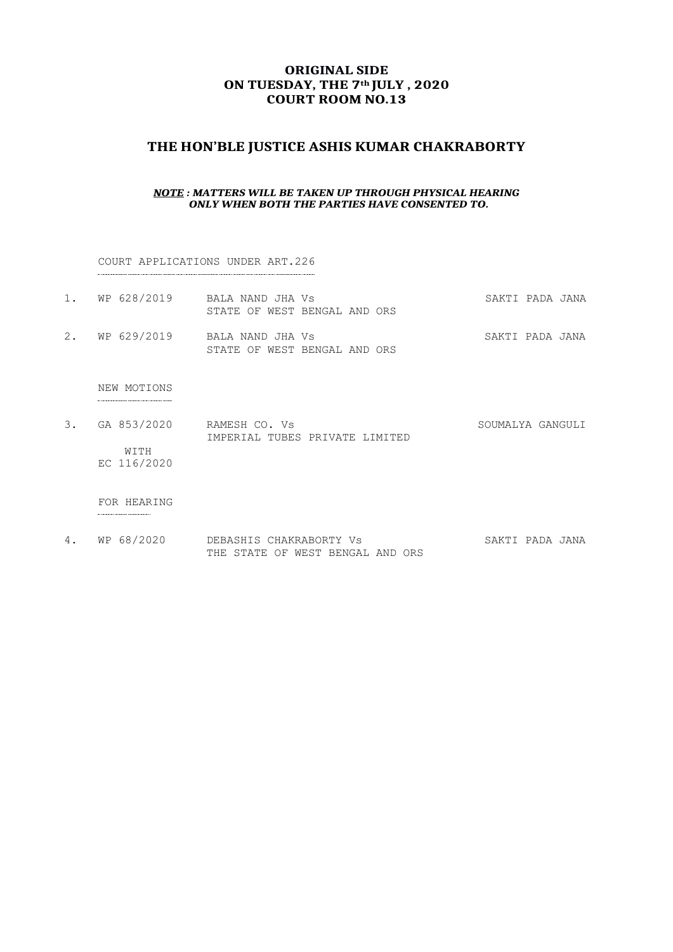# **ORIGINAL SIDE ON TUESDAY, THE 7th JULY , 2020 COURT ROOM NO.13**

# **THE HON'BLE JUSTICE ASHIS KUMAR CHAKRABORTY**

#### *NOTE : MATTERS WILL BE TAKEN UP THROUGH PHYSICAL HEARING ONLY WHEN BOTH THE PARTIES HAVE CONSENTED TO.*

COURT APPLICATIONS UNDER ART.226

|  | 1. WP 628/2019 BALA NAND JHA Vs |  |                              |  |  | SAKTI PADA JANA |  |
|--|---------------------------------|--|------------------------------|--|--|-----------------|--|
|  |                                 |  | STATE OF WEST BENGAL AND ORS |  |  |                 |  |
|  |                                 |  |                              |  |  |                 |  |

2. WP 629/2019 BALA NAND JHA Vs SAKTI PADA JANA STATE OF WEST BENGAL AND ORS

NEW MOTIONS

- 3. GA 853/2020 RAMESH CO. Vs SOUMALYA GANGULI IMPERIAL TUBES PRIVATE LIMITED WITH
	- EC 116/2020

#### FOR HEARING

4. WP 68/2020 DEBASHIS CHAKRABORTY Vs SAKTI PADA JANA THE STATE OF WEST BENGAL AND ORS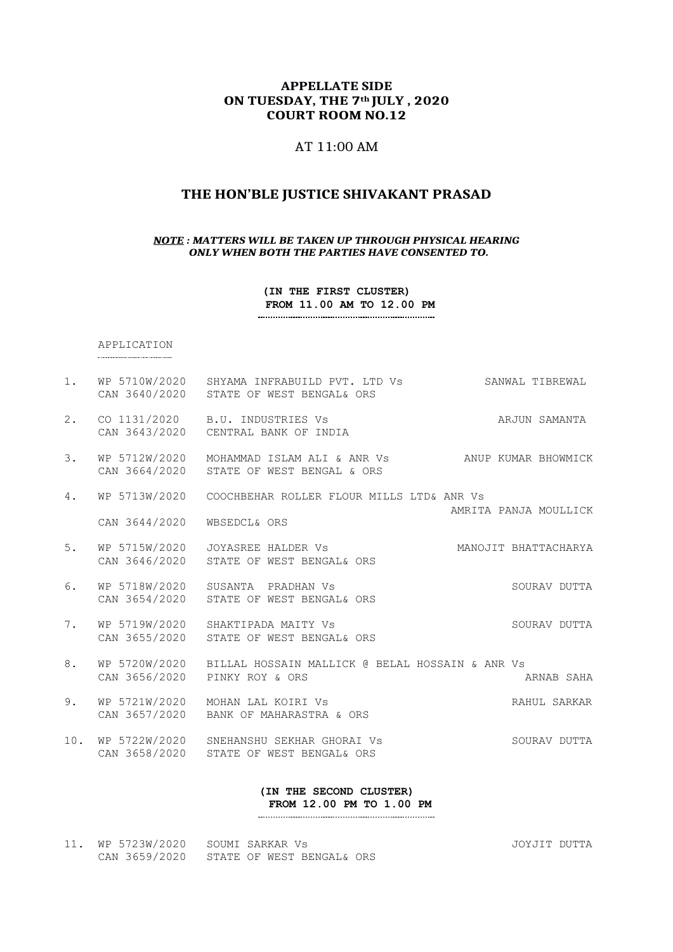#### **APPELLATE SIDE ON TUESDAY, THE 7th JULY , 2020 COURT ROOM NO.12**

# AT 11:00 AM

### **THE HON'BLE JUSTICE SHIVAKANT PRASAD**

#### *NOTE : MATTERS WILL BE TAKEN UP THROUGH PHYSICAL HEARING ONLY WHEN BOTH THE PARTIES HAVE CONSENTED TO.*

**(IN THE FIRST CLUSTER) FROM 11.00 AM TO 12.00 PM** 

#### APPLICATION

- 1. WP 5710W/2020 SHYAMA INFRABUILD PVT. LTD Vs SANWAL TIBREWAL CAN 3640/2020 STATE OF WEST BENGAL& ORS 2. CO 1131/2020 B.U. INDUSTRIES Vs ARJUN SAMANTA CAN 3643/2020 CENTRAL BANK OF INDIA
- 3. WP 5712W/2020 MOHAMMAD ISLAM ALI & ANR Vs ANUP KUMAR BHOWMICK CAN 3664/2020 STATE OF WEST BENGAL & ORS
- 4. WP 5713W/2020 COOCHBEHAR ROLLER FLOUR MILLS LTD& ANR Vs AMRITA PANJA MOULLICK CAN 3644/2020 WBSEDCL& ORS
- 5. WP 5715W/2020 JOYASREE HALDER Vs MANOJIT BHATTACHARYA CAN 3646/2020 STATE OF WEST BENGAL& ORS
- 6. WP 5718W/2020 SUSANTA PRADHAN Vs SOURAV DUTTA CAN 3654/2020 STATE OF WEST BENGAL& ORS
- 7. WP 5719W/2020 SHAKTIPADA MAITY Vs SOURAV DUTTA CAN 3655/2020 STATE OF WEST BENGAL& ORS
- 8. WP 5720W/2020 BILLAL HOSSAIN MALLICK @ BELAL HOSSAIN & ANR Vs CAN 3656/2020 PINKY ROY & ORS ARNAB SAHA
- 9. WP 5721W/2020 MOHAN LAL KOIRI Vs **RAHUL SARKAR** CAN 3657/2020 BANK OF MAHARASTRA & ORS
- 10. WP 5722W/2020 SNEHANSHU SEKHAR GHORAI Vs SOURAV DUTTA CAN 3658/2020 STATE OF WEST BENGAL& ORS

**(IN THE SECOND CLUSTER) FROM 12.00 PM TO 1.00 PM**

11. WP 5723W/2020 SOUMI SARKAR Vs JOYJIT DUTTA CAN 3659/2020 STATE OF WEST BENGAL& ORS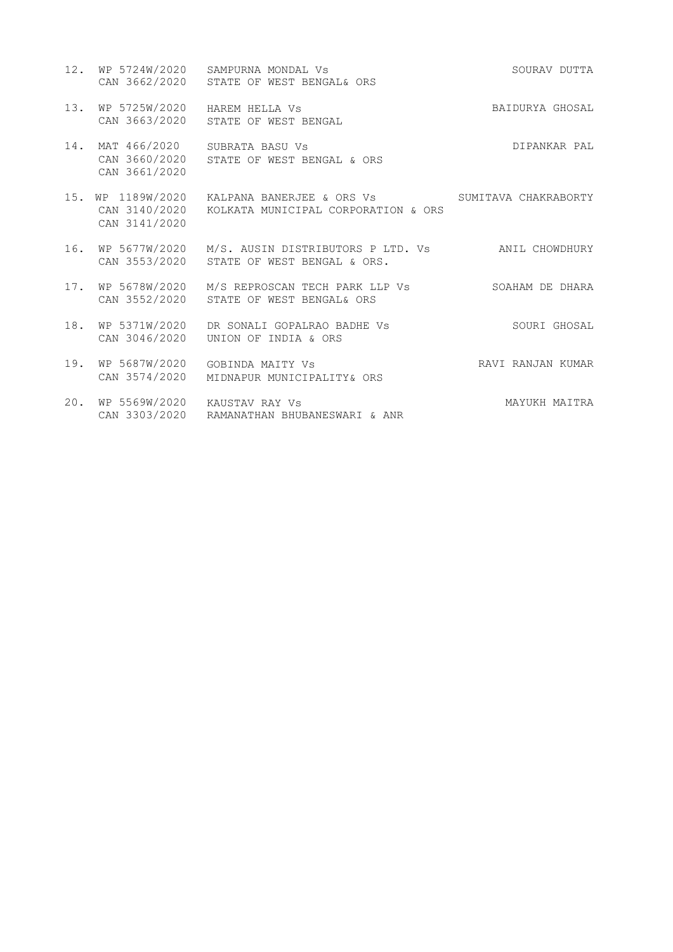|     |                                                    | 12. WP 5724W/2020 SAMPURNA MONDAL Vs<br>CAN 3662/2020 STATE OF WEST BENGAL& ORS                                 | SOURAV DUTTA      |
|-----|----------------------------------------------------|-----------------------------------------------------------------------------------------------------------------|-------------------|
|     | 13. WP 5725W/2020<br>CAN 3663/2020                 | HAREM HELLA VS<br>STATE OF WEST BENGAL                                                                          | BAIDURYA GHOSAL   |
|     | 14. MAT 466/2020<br>CAN 3660/2020<br>CAN 3661/2020 | SUBRATA BASU Vs<br>STATE OF WEST BENGAL & ORS                                                                   | DIPANKAR PAL      |
| 15. | WP 1189W/2020<br>CAN 3141/2020                     | KALPANA BANERJEE & ORS Vs             SUMITAVA CHAKRABORTY<br>CAN 3140/2020 KOLKATA MUNICIPAL CORPORATION & ORS |                   |
| 16. | WP 5677W/2020                                      | M/S. AUSIN DISTRIBUTORS P LTD. Vs ANIL CHOWDHURY<br>CAN 3553/2020 STATE OF WEST BENGAL & ORS.                   |                   |
|     | 17. WP 5678W/2020<br>CAN 3552/2020                 | M/S REPROSCAN TECH PARK LLP Vs<br>STATE OF WEST BENGAL& ORS                                                     | SOAHAM DE DHARA   |
| 18. | WP 5371W/2020<br>CAN 3046/2020                     | DR SONALI GOPALRAO BADHE VS<br>UNION OF INDIA & ORS                                                             | SOURI GHOSAL      |
| 19. | WP 5687W/2020<br>CAN 3574/2020                     | GOBINDA MAITY VS<br>MIDNAPUR MUNICIPALITY& ORS                                                                  | RAVI RANJAN KUMAR |
| 20. | WP 5569W/2020<br>CAN 3303/2020                     | KAUSTAV RAY Vs<br>RAMANATHAN BHUBANESWARI & ANR                                                                 | MAYUKH MAITRA     |